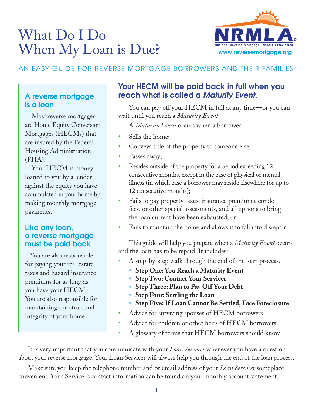# What Do I Do When My Loan is Due?



# AN EASY GUIDE FOR REVERSE MORTGAGE BORROWERS AND THEIR FAMILIES

### A reverse mortgage is a loan

 Most reverse mortgages are Home Equity Conversion Mortgages (HECMs) that are insured by the Federal Housing Administration (FHA).

Your HECM is money loaned to you by a lender against the equity you have accumulated in your home by making monthly mortgage payments.

#### Like any loan, a reverse mortgage must be paid back

 You are also responsible for paying your real estate taxes and hazard insurance premiums for as long as you have your HECM. You are also responsible for maintaining the structural integrity of your home.

## Your HECM will be paid back in full when you reach what is called a *Maturity Event.*

You can pay off your HECM in full at any time—or you can wait until you reach a *Maturity Event*.

A *Maturity Event* occurs when a borrower:

- Sells the home;
- Conveys title of the property to someone else;
- Passes away;
- Resides outside of the property for a period exceeding 12 consecutive months, except in the case of physical or mental illness (in which case a borrower may reside elsewhere for up to 12 consecutive months);
- Fails to pay property taxes, insurance premiums, condo fees, or other special assessments, and all options to bring the loan current have been exhausted; or
- Fails to maintain the home and allows it to fall into disrepair

This guide will help you prepare when a *Maturity Event* occurs and the loan has to be repaid. It includes:

- A step-by-step walk through the end of the loan process.
	- **Step One: You Reach a Maturity Event**
	- ◆ Step Two: Contact Your Servicer
	- ◆ Step Three: Plan to Pay Off Your Debt
	- **Step Four: Settling the Loan**
	- **Example 3 Step Five: If Loan Cannot Be Settled, Face Foreclosure**
- Advice for surviving spouses of HECM borrowers
- Advice for children or other heirs of HECM borrowers
- A glossary of terms that HECM borrowers should know

It is very important that you communicate with your *Loan Servicer* whenever you have a question about your reverse mortgage. Your Loan Servicer will always help you through the end of the loan process.

Make sure you keep the telephone number and or email address of your *Loan Servicer* someplace convenient. Your Servicer's contact information can be found on your monthly account statement.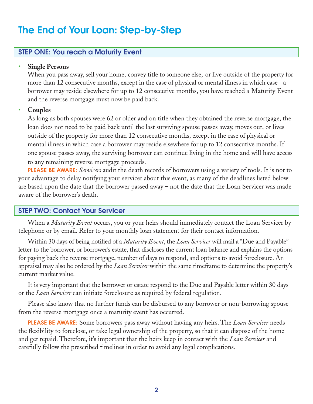# The End of Your Loan: Step-by-Step

#### STEP ONE: You reach a Maturity Event

#### • **Single Persons**

When you pass away, sell your home, convey title to someone else, or live outside of the property for more than 12 consecutive months, except in the case of physical or mental illness in which case a borrower may reside elsewhere for up to 12 consecutive months, you have reached a Maturity Event and the reverse mortgage must now be paid back.

#### • **Couples**

As long as both spouses were 62 or older and on title when they obtained the reverse mortgage, the loan does not need to be paid back until the last surviving spouse passes away, moves out, or lives outside of the property for more than 12 consecutive months, except in the case of physical or mental illness in which case a borrower may reside elsewhere for up to 12 consecutive months. If one spouse passes away, the surviving borrower can continue living in the home and will have access to any remaining reverse mortgage proceeds.

PLEASE BE AWARE: *Servicers* audit the death records of borrowers using a variety of tools. It is not to your advantage to delay notifying your servicer about this event, as many of the deadlines listed below are based upon the date that the borrower passed away – not the date that the Loan Servicer was made aware of the borrower's death.

#### STEP TWO: Contact Your Servicer

When a *Maturity Event* occurs, you or your heirs should immediately contact the Loan Servicer by telephone or by email. Refer to your monthly loan statement for their contact information.

Within 30 days of being notified of a *Maturity Event*, the *Loan Servicer* will mail a "Due and Payable" letter to the borrower, or borrower's estate, that discloses the current loan balance and explains the options for paying back the reverse mortgage, number of days to respond, and options to avoid foreclosure. An appraisal may also be ordered by the *Loan Servicer* within the same timeframe to determine the property's current market value.

It is very important that the borrower or estate respond to the Due and Payable letter within 30 days or the *Loan Servicer* can initiate foreclosure as required by federal regulation.

Please also know that no further funds can be disbursed to any borrower or non-borrowing spouse from the reverse mortgage once a maturity event has occurred.

PLEASE BE AWARE: Some borrowers pass away without having any heirs. The *Loan Servicer* needs the flexibility to foreclose, or take legal ownership of the property, so that it can dispose of the home and get repaid. Therefore, it's important that the heirs keep in contact with the *Loan Servicer* and carefully follow the prescribed timelines in order to avoid any legal complications.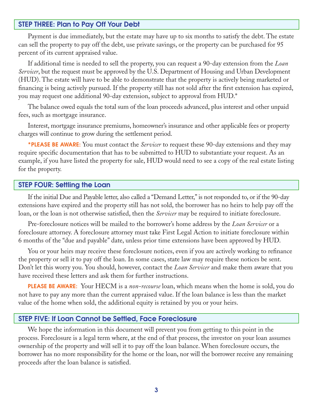#### STEP THREE: Plan to Pay Off Your Debt

Payment is due immediately, but the estate may have up to six months to satisfy the debt. The estate can sell the property to pay off the debt, use private savings, or the property can be purchased for 95 percent of its current appraised value.

If additional time is needed to sell the property, you can request a 90-day extension from the *Loan Servicer*, but the request must be approved by the U.S. Department of Housing and Urban Development (HUD). The estate will have to be able to demonstrate that the property is actively being marketed or financing is being actively pursued. If the property still has not sold after the first extension has expired, you may request one additional 90-day extension, subject to approval from HUD.\*

The balance owed equals the total sum of the loan proceeds advanced, plus interest and other unpaid fees, such as mortgage insurance.

Interest, mortgage insurance premiums, homeowner's insurance and other applicable fees or property charges will continue to grow during the settlement period.

\*PLEASE BE AWARE: You must contact the *Servicer* to request these 90-day extensions and they may require specific documentation that has to be submitted to HUD to substantiate your request. As an example, if you have listed the property for sale, HUD would need to see a copy of the real estate listing for the property.

#### STEP FOUR: Settling the Loan

If the initial Due and Payable letter, also called a "Demand Letter," is not responded to, or if the 90-day extensions have expired and the property still has not sold, the borrower has no heirs to help pay off the loan, or the loan is not otherwise satisfied, then the *Servicer* may be required to initiate foreclosure.

Pre-foreclosure notices will be mailed to the borrower's home address by the *Loan Servicer* or a foreclosure attorney. A foreclosure attorney must take First Legal Action to initiate foreclosure within 6 months of the "due and payable" date, unless prior time extensions have been approved by HUD.

You or your heirs may receive these foreclosure notices, even if you are actively working to refinance the property or sell it to pay off the loan. In some cases, state law may require these notices be sent. Don't let this worry you. You should, however, contact the *Loan Servicer* and make them aware that you have received these letters and ask them for further instructions.

PLEASE BE AWARE: Your HECM is a *non-recourse* loan, which means when the home is sold, you do not have to pay any more than the current appraised value. If the loan balance is less than the market value of the home when sold, the additional equity is retained by you or your heirs.

#### STEP FIVE: If Loan Cannot be Settled, Face Foreclosure

We hope the information in this document will prevent you from getting to this point in the process. Foreclosure is a legal term where, at the end of that process, the investor on your loan assumes ownership of the property and will sell it to pay off the loan balance. When foreclosure occurs, the borrower has no more responsibility for the home or the loan, nor will the borrower receive any remaining proceeds after the loan balance is satisfied.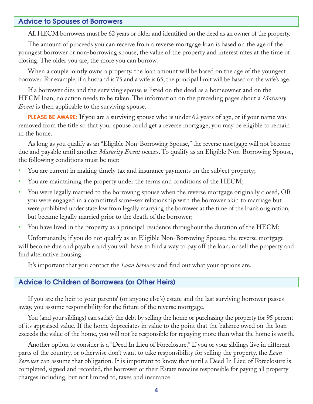#### Advice to Spouses of Borrowers

All HECM borrowers must be 62 years or older and identified on the deed as an owner of the property.

The amount of proceeds you can receive from a reverse mortgage loan is based on the age of the youngest borrower or non-borrowing spouse, the value of the property and interest rates at the time of closing. The older you are, the more you can borrow.

When a couple jointly owns a property, the loan amount will be based on the age of the youngest borrower. For example, if a husband is 75 and a wife is 65, the principal limit will be based on the wife's age.

If a borrower dies and the surviving spouse is listed on the deed as a homeowner and on the HECM loan, no action needs to be taken. The information on the preceding pages about a *Maturity Event* is then applicable to the surviving spouse.

**PLEASE BE AWARE:** If you are a surviving spouse who is under 62 years of age, or if your name was removed from the title so that your spouse could get a reverse mortgage, you may be eligible to remain in the home.

As long as you qualify as an "Eligible Non-Borrowing Spouse," the reverse mortgage will not become due and payable until another *Maturity Event* occurs. To qualify as an Eligible Non-Borrowing Spouse, the following conditions must be met:

- You are current in making timely tax and insurance payments on the subject property;
- You are maintaining the property under the terms and conditions of the HECM;
- You were legally married to the borrowing spouse when the reverse mortgage originally closed, OR you were engaged in a committed same-sex relationship with the borrower akin to marriage but were prohibited under state law from legally marrying the borrower at the time of the loan's origination, but became legally married prior to the death of the borrower;
- You have lived in the property as a principal residence throughout the duration of the HECM;

Unfortunately, if you do not qualify as an Eligible Non-Borrowing Spouse, the reverse mortgage will become due and payable and you will have to find a way to pay off the loan, or sell the property and find alternative housing.

It's important that you contact the *Loan Servicer* and find out what your options are.

#### Advice to Children of Borrowers (or Other Heirs)

If you are the heir to your parents' (or anyone else's) estate and the last surviving borrower passes away, you assume responsibility for the future of the reverse mortgage.

You (and your siblings) can satisfy the debt by selling the home or purchasing the property for 95 percent of its appraised value. If the home depreciates in value to the point that the balance owed on the loan exceeds the value of the home, you will not be responsible for repaying more than what the home is worth.

Another option to consider is a "Deed In Lieu of Foreclosure." If you or your siblings live in different parts of the country, or otherwise don't want to take responsibility for selling the property, the *Loan Servicer* can assume that obligation. It is important to know that until a Deed In Lieu of Foreclosure is completed, signed and recorded, the borrower or their Estate remains responsible for paying all property charges including, but not limited to, taxes and insurance.